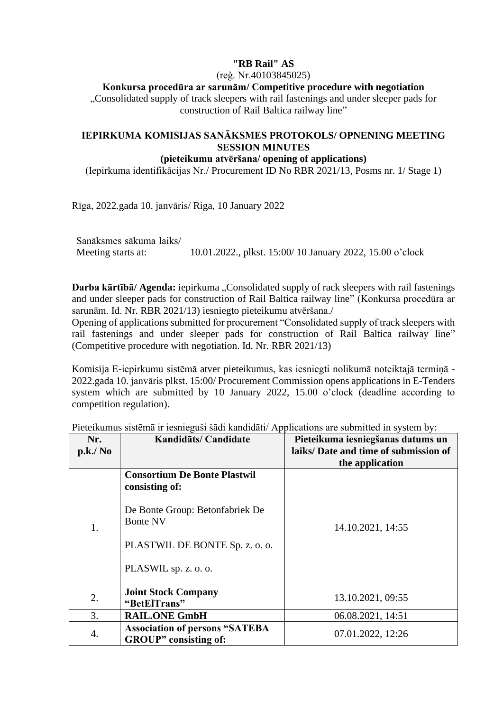## **"RB Rail" AS**

(reģ. Nr.40103845025)

## **Konkursa procedūra ar sarunām/ Competitive procedure with negotiation**

..Consolidated supply of track sleepers with rail fastenings and under sleeper pads for construction of Rail Baltica railway line"

## **IEPIRKUMA KOMISIJAS SANĀKSMES PROTOKOLS/ OPNENING MEETING SESSION MINUTES**

## **(pieteikumu atvēršana/ opening of applications)**

(Iepirkuma identifikācijas Nr./ Procurement ID No RBR 2021/13, Posms nr. 1/ Stage 1)

Rīga, 2022.gada 10. janvāris/ Riga, 10 January 2022

Sanāksmes sākuma laiks/ Meeting starts at: 10.01.2022., plkst. 15:00/ 10 January 2022, 15.00 o'clock

**Darba kārtībā/ Agenda:** iepirkuma "Consolidated supply of rack sleepers with rail fastenings and under sleeper pads for construction of Rail Baltica railway line" (Konkursa procedūra ar sarunām. Id. Nr. RBR 2021/13) iesniegto pieteikumu atvēršana./

Opening of applications submitted for procurement "Consolidated supply of track sleepers with rail fastenings and under sleeper pads for construction of Rail Baltica railway line" (Competitive procedure with negotiation. Id. Nr. RBR 2021/13)

Komisija E-iepirkumu sistēmā atver pieteikumus, kas iesniegti nolikumā noteiktajā termiņā - 2022.gada 10. janvāris plkst. 15:00/ Procurement Commission opens applications in E-Tenders system which are submitted by 10 January 2022, 15.00 o'clock (deadline according to competition regulation).

| Nr.<br>p.k./ N <sub>0</sub> | Kandidāts/ Candidate                                                   | Pieteikuma iesniegšanas datums un<br>laiks/Date and time of submission of<br>the application |
|-----------------------------|------------------------------------------------------------------------|----------------------------------------------------------------------------------------------|
| 1.                          | <b>Consortium De Bonte Plastwil</b><br>consisting of:                  |                                                                                              |
|                             | De Bonte Group: Betonfabriek De<br><b>Bonte NV</b>                     | 14.10.2021, 14:55                                                                            |
|                             | PLASTWIL DE BONTE Sp. z. o. o.                                         |                                                                                              |
|                             | PLASWIL sp. z. o. o.                                                   |                                                                                              |
| 2.                          | <b>Joint Stock Company</b><br>"BetElTrans"                             | 13.10.2021, 09:55                                                                            |
| 3.                          | <b>RAIL.ONE GmbH</b>                                                   | 06.08.2021, 14:51                                                                            |
| 4.                          | <b>Association of persons "SATEBA</b><br><b>GROUP</b> " consisting of: | 07.01.2022, 12:26                                                                            |

Pieteikumus sistēmā ir iesnieguši šādi kandidāti/ Applications are submitted in system by: